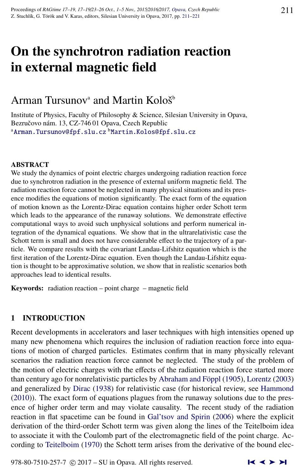# On the synchrotron radiation reaction in external magnetic field

# Arman Tursunov<sup>a</sup> and Martin Kološ<sup>b</sup>

Institute of Physics, Faculty of Philosophy & Science, Silesian University in Opava, Bezručovo nám. 13, CZ-74601 Opava, Czech Republic <sup>a</sup>[Arman.Tursunov@fpf.slu.cz](http://www.physics.cz/ Arman.Tursunov@fpf.slu.cz) <sup>b</sup>[Martin.Kolos@fpf.slu.cz](http://www.physics.cz/ Martin.Kolos@fpf.slu.cz)

#### ABSTRACT

We study the dynamics of point electric charges undergoing radiation reaction force due to synchrotron radiation in the presence of external uniform magnetic field. The radiation reaction force cannot be neglected in many physical situations and its presence modifies the equations of motion significantly. The exact form of the equation of motion known as the Lorentz-Dirac equation contains higher order Schott term which leads to the appearance of the runaway solutions. We demonstrate effective computational ways to avoid such unphysical solutions and perform numerical integration of the dynamical equations. We show that in the ultrarelativistic case the Schott term is small and does not have considerable effect to the trajectory of a particle. We compare results with the covariant Landau-Lifshitz equation which is the first iteration of the Lorentz-Dirac equation. Even though the Landau-Lifshitz equation is thought to be approximative solution, we show that in realistic scenarios both approaches lead to identical results.

Keywords: radiation reaction – point charge – magnetic field

## 1 INTRODUCTION

Recent developments in accelerators and laser techniques with high intensities opened up many new phenomena which requires the inclusion of radiation reaction force into equations of motion of charged particles. Estimates confirm that in many physically relevant scenarios the radiation reaction force cannot be neglected. The study of the problem of the motion of electric charges with the effects of the radiation reaction force started more than century ago for nonrelativistic particles by Abraham and Föppl [\(1905\)](#page-9-0), [Lorentz](#page-10-0) [\(2003\)](#page-10-0) and generalized by [Dirac](#page-10-0) [\(1938\)](#page-10-0) for relativistic case (for historical review, see [Hammond](#page-10-0) [\(2010\)](#page-10-0)). The exact form of equations plagues from the runaway solutions due to the presence of higher order term and may violate causality. The recent study of the radiation reaction in flat spacetime can be found in [Gal'tsov and Spirin](#page-10-0) [\(2006\)](#page-10-0) where the explicit derivation of the third-order Schott term was given along the lines of the Teitelboim idea to associate it with the Coulomb part of the electromagnetic field of the point charge. According to [Teitelboim](#page-10-0) [\(1970\)](#page-10-0) the Schott term arises from the derivative of the bound elec-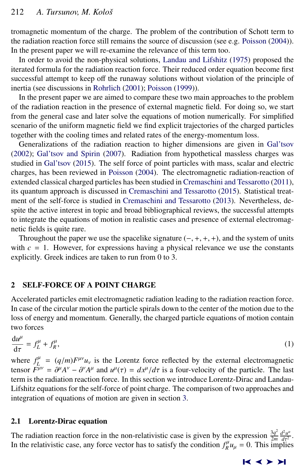<span id="page-1-0"></span>tromagnetic momentum of the charge. The problem of the contribution of Schott term to the radiation reaction force still remains the source of discussion (see e.g. [Poisson](#page-10-0) [\(2004\)](#page-10-0)). In the present paper we will re-examine the relevance of this term too.

In order to avoid the non-physical solutions, [Landau and Lifshitz](#page-10-0) [\(1975\)](#page-10-0) proposed the iterated formula for the radiation reaction force. Their reduced order equation become first successful attempt to keep off the runaway solutions without violation of the principle of inertia (see discussions in [Rohrlich](#page-10-0) [\(2001\)](#page-10-0); [Poisson](#page-10-0) [\(1999\)](#page-10-0)).

In the present paper we are aimed to compare these two main approaches to the problem of the radiation reaction in the presence of external magnetic field. For doing so, we start from the general case and later solve the equations of motion numerically. For simplified scenario of the uniform magnetic field we find explicit trajectories of the charged particles together with the cooling times and related rates of the energy-momentum loss.

Generalizations of the radiation reaction to higher dimensions are given in [Gal'tsov](#page-10-0) [\(2002\)](#page-10-0); [Gal'tsov and Spirin](#page-10-0) [\(2007\)](#page-10-0). Radiation from hypothetical massless charges was studied in [Gal'tsov](#page-10-0) [\(2015\)](#page-10-0). The self force of point particles with mass, scalar and electric charges, has been reviewed in [Poisson](#page-10-0) [\(2004\)](#page-10-0). The electromagnetic radiation-reaction of extended classical charged particles has been studied in [Cremaschini and Tessarotto](#page-10-0) [\(2011\)](#page-10-0), its quantum approach is discussed in [Cremaschini and Tessarotto](#page-10-0) [\(2015\)](#page-10-0). Statistical treatment of the self-force is studied in [Cremaschini and Tessarotto](#page-10-0) [\(2013\)](#page-10-0). Nevertheless, despite the active interest in topic and broad bibliographical reviews, the successful attempts to integrate the equations of motion in realistic cases and presence of external electromagnetic fields is quite rare.

Throughout the paper we use the spacelike signature  $(-, +, +, +)$ , and the system of units with  $c = 1$ . However, for expressions having a physical relevance we use the constants explicitly. Greek indices are taken to run from 0 to 3.

### 2 SELF-FORCE OF A POINT CHARGE

Accelerated particles emit electromagnetic radiation leading to the radiation reaction force. In case of the circular motion the particle spirals down to the center of the motion due to the loss of energy and momentum. Generally, the charged particle equations of motion contain two forces

$$
\frac{du^{\mu}}{d\tau} = f^{\mu}_L + f^{\mu}_R,\tag{1}
$$

where  $f_L^{\mu} = (q/m)F^{\mu\nu}u_{\nu}$  is the Lorentz force reflected by the external electromagnetic<br>tensor  $F_{\mu\nu}^{\mu\nu} = \frac{\partial^{\mu} A^{\nu}}{\partial \nu} = \frac{\partial^{\nu} A^{\mu}}{\partial \nu} = \frac{d\nu}{\partial \nu} + \frac{d\tau}{\partial \nu}$  is a four-velocity of the particle. The tensor  $F^{\mu\nu} = \partial^{\mu}A^{\nu} - \partial^{\nu}A^{\mu}$  and  $u^{\mu}(\tau) = dx^{\mu}/d\tau$  is a four-velocity of the particle. The last term is the radiation reaction force. In this section we introduce I orgatz-Dirac and I andauterm is the radiation reaction force. In this section we introduce Lorentz-Dirac and Landau-Lifshitz equations for the self-force of point charge. The comparison of two approaches and integration of equations of motion are given in section [3.](#page-3-0)

#### 2.1 Lorentz-Dirac equation

d*u*

The radiation reaction force in the non-relativistic case is given by the expression  $\frac{3q^2}{2m}$  $rac{3q^2}{2m}$   $rac{d^2u^{\alpha}}{d\tau^2}$ *t<sup>2</sup>u<sup>α</sup>*<br>dτ<sup>2</sup><br>ilies In the relativistic case, any force vector has to satisfy the condition  $f_R^{\mu} u_{\mu} = 0$ . This implies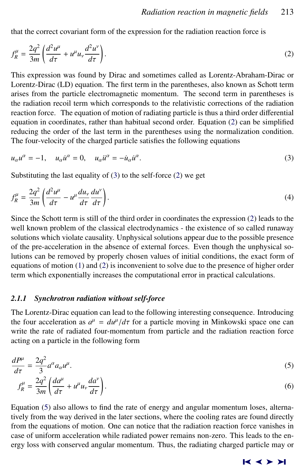<span id="page-2-0"></span>that the correct covariant form of the expression for the radiation reaction force is

$$
f_R^{\mu} = \frac{2q^2}{3m} \left( \frac{d^2 u^{\mu}}{d\tau} + u^{\mu} u_{\nu} \frac{d^2 u^{\nu}}{d\tau} \right). \tag{2}
$$

This expression was found by Dirac and sometimes called as Lorentz-Abraham-Dirac or Lorentz-Dirac (LD) equation. The first term in the parentheses, also known as Schott term arises from the particle electromagnetic momentum. The second term in parentheses is the radiation recoil term which corresponds to the relativistic corrections of the radiation reaction force. The equation of motion of radiating particle is thus a third order differential equation in coordinates, rather than habitual second order. Equation (2) can be simplified reducing the order of the last term in the parentheses using the normalization condition. The four-velocity of the charged particle satisfies the following equations

$$
u_{\alpha}u^{\alpha} = -1, \quad u_{\alpha}\dot{u}^{\alpha} = 0, \quad u_{\alpha}\dot{u}^{\alpha} = -\dot{u}_{\alpha}\dot{u}^{\alpha}.
$$
 (3)

Substituting the last equality of (3) to the self-force (2) we get

$$
f_R^{\mu} = \frac{2q^2}{3m} \left( \frac{d^2 u^{\mu}}{d\tau} - u^{\mu} \frac{du_{\nu}}{d\tau} \frac{du^{\nu}}{d\tau} \right).
$$
 (4)

Since the Schott term is still of the third order in coordinates the expression (2) leads to the well known problem of the classical electrodynamics - the existence of so called runaway solutions which violate causality. Unphysical solutions appear due to the possible presence of the pre-acceleration in the absence of external forces. Even though the unphysical solutions can be removed by properly chosen values of initial conditions, the exact form of equations of motion  $(1)$  and  $(2)$  is inconvenient to solve due to the presence of higher order term which exponentially increases the computational error in practical calculations.

#### *2.1.1 Synchrotron radiation without self-force*

The Lorentz-Dirac equation can lead to the following interesting consequence. Introducing the four acceleration as  $a^{\mu} = du^{\mu}/d\tau$  for a particle moving in Minkowski space one can<br>write the rate of radiated four-momentum from particle and the radiation reaction force write the rate of radiated four-momentum from particle and the radiation reaction force acting on a particle in the following form

$$
\frac{dP^{\mu}}{d\tau} = \frac{2q^2}{3}a^{\alpha}a_{\alpha}u^{\mu}.
$$
\n(5)

$$
f_R^{\mu} = \frac{2q^2}{3m} \left( \frac{da^{\mu}}{d\tau} + u^{\mu} u_{\nu} \frac{da^{\nu}}{d\tau} \right).
$$
 (6)

Equation (5) also allows to find the rate of energy and angular momentum loses, alternatively from the way derived in the later sections, where the cooling rates are found directly from the equations of motion. One can notice that the radiation reaction force vanishes in case of uniform acceleration while radiated power remains non-zero. This leads to the energy loss with conserved angular momentum. Thus, the radiating charged particle may or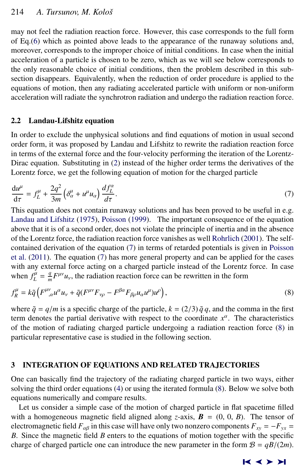<span id="page-3-0"></span>may not feel the radiation reaction force. However, this case corresponds to the full form of Eq.[\(6\)](#page-2-0) which as pointed above leads to the appearance of the runaway solutions and, moreover, corresponds to the improper choice of initial conditions. In case when the initial acceleration of a particle is chosen to be zero, which as we will see below corresponds to the only reasonable choice of initial conditions, then the problem described in this subsection disappears. Equivalently, when the reduction of order procedure is applied to the equations of motion, then any radiating accelerated particle with uniform or non-uniform acceleration will radiate the synchrotron radiation and undergo the radiation reaction force.

#### 2.2 Landau-Lifshitz equation

In order to exclude the unphysical solutions and find equations of motion in usual second order form, it was proposed by Landau and Lifshitz to rewrite the radiation reaction force in terms of the external force and the four-velocity performing the iteration of the Lorentz-Dirac equation. Substituting in [\(2\)](#page-2-0) instead of the higher order terms the derivatives of the Lorentz force, we get the following equation of motion for the charged particle

$$
\frac{du^{\mu}}{d\tau} = f_{L}^{\mu} + \frac{2q^{2}}{3m} \left( \delta_{\alpha}^{\mu} + u^{\mu} u_{\alpha} \right) \frac{df_{L}^{\alpha}}{d\tau}.
$$
\nThis equation does not contain runaway solutions and has been proved to be useful in e.g.

[Landau and Lifshitz](#page-10-0) [\(1975\)](#page-10-0), [Poisson](#page-10-0) [\(1999\)](#page-10-0). The important consequence of the equation above that it is of a second order, does not violate the principle of inertia and in the absence of the Lorentz force, the radiation reaction force vanishes as well [Rohrlich](#page-10-0) [\(2001\)](#page-10-0). The selfcontained derivation of the equation (7) in terms of retarded potentials is given in [Poisson](#page-10-0) [et al.](#page-10-0) [\(2011\)](#page-10-0). The equation (7) has more general property and can be applied for the cases with any external force acting on a charged particle instead of the Lorentz force. In case when  $f_L^{\mu} = \frac{q}{m}$  $\frac{q}{m}F^{\mu\nu}u_{\nu}$ , the radiation reaction force can be rewritten in the form

$$
f_R^{\mu} = k \tilde{q} \left( F^{\mu \nu}_{\ \, ,\alpha} u^{\alpha} u_{\nu} + \tilde{q} (F^{\mu \nu} F_{\nu \rho} - F^{\beta \alpha} F_{\beta \rho} u_{\alpha} u^{\mu}) u^{\rho} \right), \tag{8}
$$

where  $\tilde{q} = q/m$  is a specific charge of the particle,  $k = (2/3) \tilde{q} q$ , and the comma in the first term denotes the partial derivative with respect to the coordinate *x* α . The characteristics of the motion of radiating charged particle undergoing a radiation reaction force (8) in particular representative case is studied in the following section.

#### 3 INTEGRATION OF EQUATIONS AND RELATED TRAJECTORIES

One can basically find the trajectory of the radiating charged particle in two ways, either solving the third order equations [\(4\)](#page-2-0) or using the iterated formula (8). Below we solve both equations numerically and compare results.

Let us consider a simple case of the motion of charged particle in flat spacetime filled with a homogeneous magnetic field aligned along *z*-axis,  $\mathbf{B} = (0, 0, B)$ . The tensor of electromagnetic field  $F_{\alpha\beta}$  in this case will have only two nonzero components  $F_{xy} = -F_{yx}$ *B*. Since the magnetic field *B* enters to the equations of motion together with the specific charge of charged particle one can introduce the new parameter in the form  $B = qB/(2m)$ .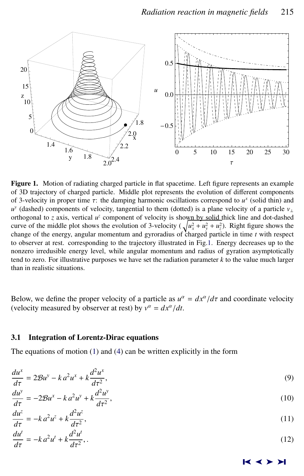<span id="page-4-0"></span>

Figure 1. Motion of radiating charged particle in flat spacetime. Left figure represents an example of 3D trajectory of charged particle. Middle plot represents the evolution of different components of 3-velocity in proper time  $\tau$ : the damping harmonic oscillations correspond to  $u^x$  (solid thin) and  $u^y$  (dashed) components of velocity tangential to them (dotted) is a plane velocity of a particle *y u y* (dashed) components of velocity, tangential to them (dotted) is a plane velocity of a particle *v*<sup>⊥</sup> orthogonal to *z* axis, vertical  $u^z$  component of velocity is shown by solid thick line and dot-dashed curve of the middle plot shows the evolution of 3-velocity ( $\sqrt{u_x^2 + u_y^2 + u_z^2}$ ). Right figure shows the change of the energy, angular momentum and gyroradius of charged particle in time *t* with respect to observer at rest. corresponding to the trajectory illustrated in Fig.1. Energy decreases up to the nonzero irredusible energy level, while angular momentum and radius of gyration asymptotically tend to zero. For illustrative purposes we have set the radiation parameter *k* to the value much larger than in realistic situations.

Below, we define the proper velocity of a particle as  $u^{\alpha} = dx^{\alpha}/d\tau$  and coordinate velocity (velocity measured by observer at rest) by  $y^{\alpha} = dx^{\alpha}/dt$ (velocity measured by observer at rest) by  $v^{\alpha} = dx^{\alpha}/dt$ .

#### 3.1 Integration of Lorentz-Dirac equations

The equations of motion [\(1\)](#page-1-0) and [\(4\)](#page-2-0) can be written explicitly in the form

$$
\frac{du^{x}}{d\tau} = 2\mathcal{B}u^{y} - k a^{2}u^{x} + k\frac{d^{2}u^{x}}{d\tau^{2}},
$$
\n
$$
\frac{du^{y}}{d\tau^{2}} = 2\mathcal{B}u^{y} - k a^{2}u^{x} + k\frac{d^{2}u^{x}}{d\tau^{2}},
$$
\n(9)

$$
\frac{du^y}{d\tau} = -2\mathcal{B}u^x - k a^2 u^y + k \frac{d^2 u^y}{d\tau^2},\tag{10}
$$

$$
\frac{du^z}{d\tau} = -k a^2 u^z + k \frac{d^2 u^z}{d\tau^2},
$$
\n(11)

$$
\frac{du^t}{d\tau} = -k a^2 u^t + k \frac{d^2 u^t}{d\tau^2},\tag{12}
$$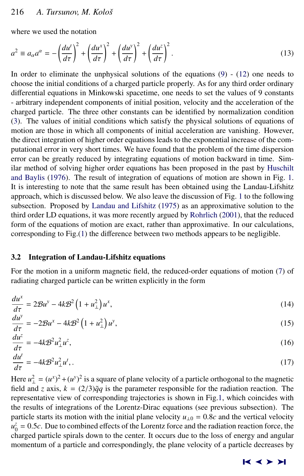#### <span id="page-5-0"></span>216 *A. Tursunov, M. Koloˇs*

where we used the notation

$$
a^2 \equiv a_\alpha a^\alpha = -\left(\frac{du^t}{d\tau}\right)^2 + \left(\frac{du^x}{d\tau}\right)^2 + \left(\frac{du^y}{d\tau}\right)^2 + \left(\frac{du^z}{d\tau}\right)^2.
$$
 (13)

In order to eliminate the unphysical solutions of the equations  $(9)$  -  $(12)$  one needs to choose the initial conditions of a charged particle properly. As for any third order ordinary differential equations in Minkowski spacetime, one needs to set the values of 9 constants - arbitrary independent components of initial position, velocity and the acceleration of the charged particle. The three other constants can be identified by normalization condition [\(3\)](#page-2-0). The values of initial conditions which satisfy the physical solutions of equations of motion are those in which all components of initial acceleration are vanishing. However, the direct integration of higher order equations leads to the exponential increase of the computational error in very short times. We have found that the problem of the time dispersion error can be greatly reduced by integrating equations of motion backward in time. Similar method of solving higher order equations has been proposed in the past by [Huschilt](#page-10-0) [and Baylis](#page-10-0) [\(1976\)](#page-10-0). The result of integration of equations of motion are shown in Fig. [1.](#page-4-0) It is interesting to note that the same result has been obtained using the Landau-Lifshitz approach, which is discussed below. We also leave the discussion of Fig. [1](#page-4-0) to the following subsection. Proposed by [Landau and Lifshitz](#page-10-0) [\(1975\)](#page-10-0) as an approximative solution to the third order LD equations, it was more recently argued by [Rohrlich](#page-10-0) [\(2001\)](#page-10-0), that the reduced form of the equations of motion are exact, rather than approximative. In our calculations, corresponding to Fig.[\(1\)](#page-4-0) the difference between two methods appears to be negligible.

#### 3.2 Integration of Landau-Lifshitz equations

*du<sup>x</sup>*

For the motion in a uniform magnetic field, the reduced-order equations of motion [\(7\)](#page-3-0) of radiating charged particle can be written explicitly in the form

$$
\frac{du^x}{d\tau} = 2\mathcal{B}u^y - 4k\mathcal{B}^2\left(1 + u_\perp^2\right)u^x,\tag{14}
$$

$$
\frac{du^{\nu}}{d\tau} = -2\mathcal{B}u^x - 4k\mathcal{B}^2\left(1 + u_{\perp}^2\right)u^y,\tag{15}
$$

$$
\frac{d\tau}{d\tau} = -4k\mathcal{B}^2 u_{\perp}^2 u^2,
$$
\n(16)  
\n
$$
\frac{du^z}{d\tau} = -4k\mathcal{B}^2 u_{\perp}^2 u^z,
$$
\n(17)

$$
\frac{du}{d\tau} = -4k\mathcal{B}^2 u_{\perp}^2 u^t,\tag{17}
$$

*d*τ  $\lim_{x \to a} u_1^2 = (u^x)^2 + (u^y)^2$  is a square of plane velocity of a particle orthogonal to the magnetic field and *z* axis,  $k = (2/3)\tilde{q}q$  is the parameter responsible for the radiation reaction. The representative view of corresponding trajectories is shown in Fig[.1,](#page-4-0) which coincides with the results of integrations of the Lorentz-Dirac equations (see previous subsection). The particle starts its motion with the initial plane velocity  $u_{\perp 0} = 0.8c$  and the vertical velocity  $u_0^2 = 0.5c$ . Due to combined effects of the Lorentz force and the radiation reaction force, the charged particle spirals down to the center. It occurs due to the loss of energy and angular charged particle spirals down to the center. It occurs due to the loss of energy and angular momentum of a particle and correspondingly, the plane velocity of a particle decreases by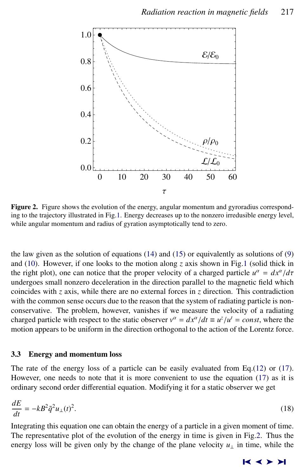<span id="page-6-0"></span>

Figure 2. Figure shows the evolution of the energy, angular momentum and gyroradius corresponding to the trajectory illustrated in Fig[.1.](#page-4-0) Energy decreases up to the nonzero irredusible energy level, while angular momentum and radius of gyration asymptotically tend to zero.

the law given as the solution of equations  $(14)$  and  $(15)$  or equivalently as solutions of  $(9)$ and [\(10\)](#page-4-0). However, if one looks to the motion along  $\zeta$  axis shown in Fig[.1](#page-4-0) (solid thick in the right plot), one can notice that the proper velocity of a charged particle  $u^{\alpha} = dx^{\alpha}/d\tau$ <br>undergoes small ponzero deceleration in the direction parallel to the magnetic field which undergoes small nonzero deceleration in the direction parallel to the magnetic field which coincides with *z* axis, while there are no external forces in *z* direction. This contradiction with the common sense occurs due to the reason that the system of radiating particle is nonconservative. The problem, however, vanishes if we measure the velocity of a radiating charged particle with respect to the static observer  $v^{\alpha} = dx^{\alpha}/dt \equiv u^{\overline{z}}/u^t = const$ , where the motion appears to be uniform in the direction orthogonal to the action of the Lorentz force motion appears to be uniform in the direction orthogonal to the action of the Lorentz force.

#### 3.3 Energy and momentum loss

The rate of the energy loss of a particle can be easily evaluated from Eq.[\(12\)](#page-4-0) or [\(17\)](#page-5-0). However, one needs to note that it is more convenient to use the equation [\(17\)](#page-5-0) as it is ordinary second order differential equation. Modifying it for a static observer we get

$$
\frac{dE}{dt} = -kB^2 \tilde{q}^2 u_\perp(t)^2. \tag{18}
$$

Integrating this equation one can obtain the energy of a particle in a given moment of time. The representative plot of the evolution of the energy in time is given in Fig.2. Thus the energy loss will be given only by the change of the plane velocity  $u_{\perp}$  in time, while the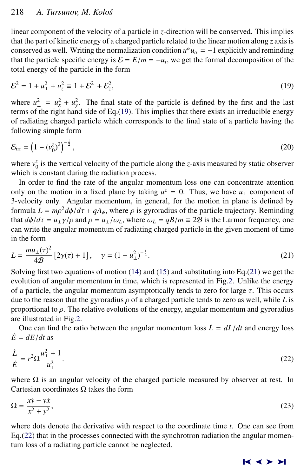linear component of the velocity of a particle in *z*-direction will be conserved. This implies that the part of kinetic energy of a charged particle related to the linear motion along *z* axis is conserved as well. Writing the normalization condition  $u^{\alpha}u_{\alpha} = -1$  explicitly and reminding that the nortials appeal is general  $S - E/m = u$ , we get the formal decomposition of the that the particle specific energy is  $\mathcal{E} = E/m = -u_t$ , we get the formal decomposition of the total energy of the particle in the form total energy of the particle in the form

$$
\mathcal{E}^2 = 1 + u_{\perp}^2 + u_z^2 \equiv 1 + \mathcal{E}_{\perp}^2 + \mathcal{E}_z^2, \tag{19}
$$

where  $u_{\perp}^2 = u_x^2 + u_y^2$ . The final state of the particle is defined by the first and the last terms of the right hand side of Eq.(19). This implies that there exists an irreducible energy of radiating charged particle which corresponds to the final state of a particle having the following simple form

$$
\mathcal{E}_{irr} = \left(1 - (v_0^z)^2\right)^{-\frac{1}{2}},\tag{20}
$$

where  $v_0^z$  is the vertical velocity of the particle along the *z*-axis measured by static observer which is constant during the radiation process.

In order to find the rate of the angular momentum loss one can concentrate attention only on the motion in a fixed plane by taking  $u^z = 0$ . Thus, we have  $u_{\perp}$  component of 3-velocity only. Angular momentum, in general, for the motion in plane is defined by formula  $L = m\rho^2 d\phi/d\tau + qA_\phi$ , where  $\rho$  is gyroradius of the particle trajectory. Reminding that  $d\phi/d\tau = \mu \chi/\omega$  and  $\rho = \mu \chi/\omega$ , where  $\omega = qR/m = 2\%$  is the Larmor frequency one that  $d\phi/d\tau = u_\perp \gamma/\rho$  and  $\rho = u_\perp/\omega_L$ , where  $\omega_L = qB/m \equiv 2B$  is the Larmor frequency, one can write the angular momentum of radiating charged particle in the given moment of time in the form

$$
L = \frac{mu_{\perp}(\tau)^2}{4\mathcal{B}} \left[ 2\gamma(\tau) + 1 \right], \quad \gamma = (1 - u_{\perp}^2)^{-\frac{1}{2}}.
$$
 (21)

Solving first two equations of motion  $(14)$  and  $(15)$  and substituting into Eq.(21) we get the evolution of angular momentum in time, which is represented in Fig[.2.](#page-6-0) Unlike the energy of a particle, the angular momentum asymptotically tends to zero for large  $\tau$ . This occurs due to the reason that the gyroradius  $\rho$  of a charged particle tends to zero as well, while *L* is proportional to  $\rho$ . The relative evolutions of the energy, angular momentum and gyroradius are illustrated in Fig[.2.](#page-6-0)

One can find the ratio between the angular momentum loss  $\dot{L} = dL/dt$  and energy loss  $\dot{E} = dE/dt$  as

$$
\frac{\dot{L}}{\dot{E}} = r^2 \Omega \frac{u_{\perp}^2 + 1}{u_{\perp}^2}.
$$
\n(22)

where  $\Omega$  is an angular velocity of the charged particle measured by observer at rest. In Cartesian coordinates Ω takes the form

$$
\Omega = \frac{x\dot{y} - y\dot{x}}{x^2 + y^2},\tag{23}
$$

where dots denote the derivative with respect to the coordinate time *t*. One can see from Eq.(22) that in the processes connected with the synchrotron radiation the angular momentum loss of a radiating particle cannot be neglected.

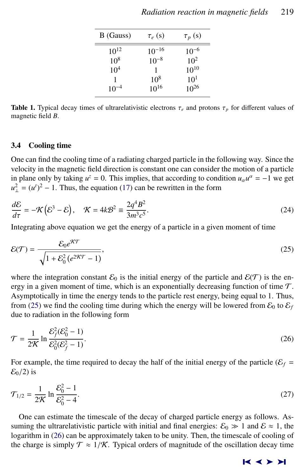<span id="page-8-0"></span>

| B (Gauss)       | $\tau_e$ (s)    | $\tau_p(s)$ |
|-----------------|-----------------|-------------|
| $10^{12}$       | $10^{-16}$      | $10^{-6}$   |
| 10 <sup>8</sup> | $10^{-8}$       | $10^{2}$    |
| 10 <sup>4</sup> |                 | $10^{10}$   |
| 1               | 10 <sup>8</sup> | $10^{1}$    |
| $10^{-4}$       | $10^{16}$       | $10^{26}$   |

**Table 1.** Typical decay times of ultrarelativistic electrons  $\tau_e$  and protons  $\tau_p$  for different values of magnetic field *B*.

# 3.4 Cooling time

One can find the cooling time of a radiating charged particle in the following way. Since the velocity in the magnetic field direction is constant one can consider the motion of a particle in plane only by taking  $u^z = 0$ . This implies, that according to condition  $u_\alpha u^\alpha = -1$  we get  $u_{\perp}^2 = (u^t)^2 - 1$ . Thus, the equation [\(17\)](#page-5-0) can be rewritten in the form

$$
\frac{dE}{d\tau} = -\mathcal{K}(\mathcal{E}^3 - \mathcal{E}), \quad \mathcal{K} = 4k\mathcal{B}^2 \equiv \frac{2q^4B^2}{3m^3c^5}.
$$
\nIntegrating above equation we get the energy of a particle in a given moment of time

$$
\mathcal{E}(\mathcal{T}) = \frac{\mathcal{E}_0 e^{\mathcal{K}\mathcal{T}}}{\sqrt{1 + \mathcal{E}_0^2 \left(e^{2\mathcal{K}\mathcal{T}} - 1\right)}},\tag{25}
$$

where the integration constant  $\mathcal{E}_0$  is the initial energy of the particle and  $\mathcal{E}(\mathcal{T})$  is the energy in a given moment of time, which is an exponentially decreasing function of time  $T$ . Asymptotically in time the energy tends to the particle rest energy, being equal to 1. Thus, from (25) we find the cooling time during which the energy will be lowered from  $\mathcal{E}_0$  to  $\mathcal{E}_f$ due to radiation in the following form

$$
\mathcal{T} = \frac{1}{2\mathcal{K}} \ln \frac{\mathcal{E}_f^2(\mathcal{E}_0^2 - 1)}{\mathcal{E}_0^2(\mathcal{E}_f^2 - 1)}.
$$
\n(26)

For example, the time required to decay the half of the initial energy of the particle ( $\mathcal{E}_f$  =  $\mathcal{E}_0/2$ ) is

$$
\mathcal{T}_{1/2} = \frac{1}{2\mathcal{K}} \ln \frac{\mathcal{E}_0^2 - 1}{\mathcal{E}_0^2 - 4}.
$$
\n(27)

One can estimate the timescale of the decay of charged particle energy as follows. Assuming the ultrarelativistic particle with initial and final energies:  $\mathcal{E}_0 \gg 1$  and  $\mathcal{E} \approx 1$ , the logarithm in (26) can be approximately taken to be unity. Then, the timescale of cooling of the charge is simply  $\mathcal{T} \approx 1/\mathcal{K}$ . Typical orders of magnitude of the oscillation decay time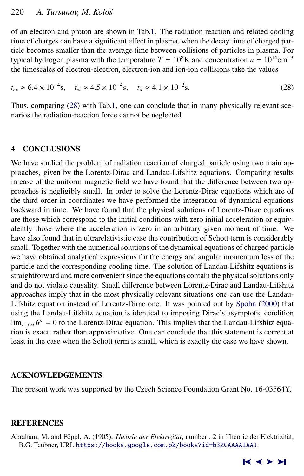<span id="page-9-0"></span>of an electron and proton are shown in Tab[.1.](#page-8-0) The radiation reaction and related cooling time of charges can have a significant effect in plasma, when the decay time of charged particle becomes smaller than the average time between collisions of particles in plasma. For typical hydrogen plasma with the temperature  $T = 10^8$ K and concentration  $n = 10^{14}$ cm<sup>-3</sup> the timescales of electron-electron, electron-ion and ion-ion collisions take the values

$$
t_{ee} \approx 6.4 \times 10^{-4} \text{s}, \quad t_{ei} \approx 4.5 \times 10^{-4} \text{s}, \quad t_{ii} \approx 4.1 \times 10^{-2} \text{s}.
$$
 (28)

Thus, comparing (28) with Tab[.1,](#page-8-0) one can conclude that in many physically relevant scenarios the radiation-reaction force cannot be neglected.

#### 4 CONCLUSIONS

We have studied the problem of radiation reaction of charged particle using two main approaches, given by the Lorentz-Dirac and Landau-Lifshitz equations. Comparing results in case of the uniform magnetic field we have found that the difference between two approaches is negligibly small. In order to solve the Lorentz-Dirac equations which are of the third order in coordinates we have performed the integration of dynamical equations backward in time. We have found that the physical solutions of Lorentz-Dirac equations are those which correspond to the initial conditions with zero initial acceleration or equivalently those where the acceleration is zero in an arbitrary given moment of time. We have also found that in ultrarelativistic case the contribution of Schott term is considerably small. Together with the numerical solutions of the dynamical equations of charged particle we have obtained analytical expressions for the energy and angular momentum loss of the particle and the corresponding cooling time. The solution of Landau-Lifshitz equations is straightforward and more convenient since the equations contain the physical solutions only and do not violate causality. Small difference between Lorentz-Dirac and Landau-Lifshitz approaches imply that in the most physically relevant situations one can use the Landau-Lifshitz equation instead of Lorentz-Dirac one. It was pointed out by [Spohn](#page-10-0) [\(2000\)](#page-10-0) that using the Landau-Lifshitz equation is identical to imposing Dirac's asymptotic condition  $\lim_{\tau \to \infty} \dot{u}^{\mu} = 0$  to the Lorentz-Dirac equation. This implies that the Landau-Lifshitz equation is a vector than expressionative. One can conclude that this statement is corrected. tion is exact, rather than approximative. One can conclude that this statement is correct at least in the case when the Schott term is small, which is exactly the case we have shown.

#### ACKNOWLEDGEMENTS

The present work was supported by the Czech Science Foundation Grant No. 16-03564Y.

#### **REFERENCES**

Abraham, M. and Föppl, A. (1905), *Theorie der Elektrizität*, number . 2 in Theorie der Elektrizität, B.G. Teubner, URL <https://books.google.com.pk/books?id=b3ZCAAAAIAAJ>.